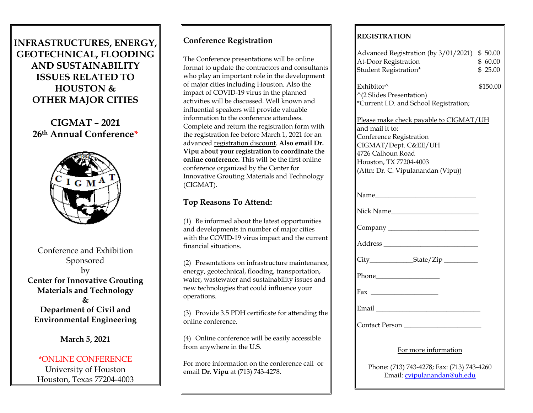# **INFRASTRUCTURES, ENERGY, GEOTECHNICAL, FLOODING AND SUSTAINABILITY ISSUES RELATED TO HOUSTON & OTHER MAJOR CITIES**

**CIGMAT – 2021 26th Annual Conference\***



Conference and Exhibition Sponsored by **Center for Innovative Grouting Materials and Technology & Department of Civil and** 

**March 5, 2021**

**Environmental Engineering**

### \*ONLINE CONFERENCE

University of Houston Houston, Texas 77204-4003

## **Conference Registration**

The Conference presentations will be online format to update the contractors and consultants who play an important role in the development of major cities including Houston. Also the impact of COVID-19 virus in the planned activities will be discussed. Well known and influential speakers will provide valuable information to the conference attendees. Complete and return the registration form with the registration fee before March 1, 2021 for an advanced registration discount. **Also email Dr. Vipu about your registration to coordinate the online conference.** This will be the first online conference organized by the Center for Innovative Grouting Materials and Technology (CIGMAT).

### **Top Reasons To Attend:**

 $(1)$  Be informed about the latest opportunities and developments in number of major cities with the COVID-19 virus impact and the current financial situations.

 $(2)$  Presentations on infrastructure maintenance, energy, geotechnical, flooding, transportation, water, wastewater and sustainability issues and new technologies that could influence your operations.

 $(3)$  Provide 3.5 PDH certificate for attending the online conference.

 $(4)$  Online conference will be easily accessible from anywhere in the U.S.

For more information on the conference call or email **Dr. Vipu** at (713) 743-4278.

### **REGISTRATION**

| Advanced Registration (by 3/01/2021) \$50.00<br>At-Door Registration<br>Student Registration*                                                                                                            | \$60.00<br>\$25.00 |
|----------------------------------------------------------------------------------------------------------------------------------------------------------------------------------------------------------|--------------------|
| Exhibitor^<br>^(2 Slides Presentation)<br>*Current I.D. and School Registration;                                                                                                                         | \$150.00           |
| Please make check payable to CIGMAT/UH<br>and mail it to:<br><b>Conference Registration</b><br>CIGMAT/Dept. C&EE/UH<br>4726 Calhoun Road<br>Houston, TX 77204-4003<br>(Attn: Dr. C. Vipulanandan (Vipu)) |                    |
|                                                                                                                                                                                                          |                    |
|                                                                                                                                                                                                          |                    |
|                                                                                                                                                                                                          |                    |
|                                                                                                                                                                                                          |                    |
|                                                                                                                                                                                                          |                    |
|                                                                                                                                                                                                          |                    |
|                                                                                                                                                                                                          |                    |
|                                                                                                                                                                                                          |                    |
|                                                                                                                                                                                                          |                    |
| For more information                                                                                                                                                                                     |                    |
| Phone: (713) 743-4278; Fax: (713) 743-4260<br>Email: cvipulanandan@uh.edu                                                                                                                                |                    |